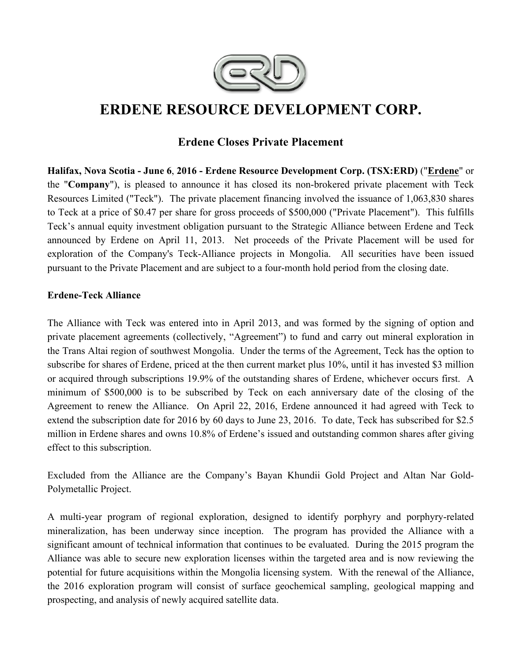

# **ERDENE RESOURCE DEVELOPMENT CORP.**

## **Erdene Closes Private Placement**

**Halifax, Nova Scotia - June 6**, **2016 - Erdene Resource Development Corp. (TSX:ERD)** ("**Erdene**" or the "**Company**"), is pleased to announce it has closed its non-brokered private placement with Teck Resources Limited ("Teck"). The private placement financing involved the issuance of 1,063,830 shares to Teck at a price of \$0.47 per share for gross proceeds of \$500,000 ("Private Placement"). This fulfills Teck's annual equity investment obligation pursuant to the Strategic Alliance between Erdene and Teck announced by Erdene on April 11, 2013. Net proceeds of the Private Placement will be used for exploration of the Company's Teck-Alliance projects in Mongolia. All securities have been issued pursuant to the Private Placement and are subject to a four-month hold period from the closing date.

#### **Erdene-Teck Alliance**

The Alliance with Teck was entered into in April 2013, and was formed by the signing of option and private placement agreements (collectively, "Agreement") to fund and carry out mineral exploration in the Trans Altai region of southwest Mongolia. Under the terms of the Agreement, Teck has the option to subscribe for shares of Erdene, priced at the then current market plus 10%, until it has invested \$3 million or acquired through subscriptions 19.9% of the outstanding shares of Erdene, whichever occurs first. A minimum of \$500,000 is to be subscribed by Teck on each anniversary date of the closing of the Agreement to renew the Alliance. On April 22, 2016, Erdene announced it had agreed with Teck to extend the subscription date for 2016 by 60 days to June 23, 2016. To date, Teck has subscribed for \$2.5 million in Erdene shares and owns 10.8% of Erdene's issued and outstanding common shares after giving effect to this subscription.

Excluded from the Alliance are the Company's Bayan Khundii Gold Project and Altan Nar Gold-Polymetallic Project.

A multi-year program of regional exploration, designed to identify porphyry and porphyry-related mineralization, has been underway since inception. The program has provided the Alliance with a significant amount of technical information that continues to be evaluated. During the 2015 program the Alliance was able to secure new exploration licenses within the targeted area and is now reviewing the potential for future acquisitions within the Mongolia licensing system. With the renewal of the Alliance, the 2016 exploration program will consist of surface geochemical sampling, geological mapping and prospecting, and analysis of newly acquired satellite data.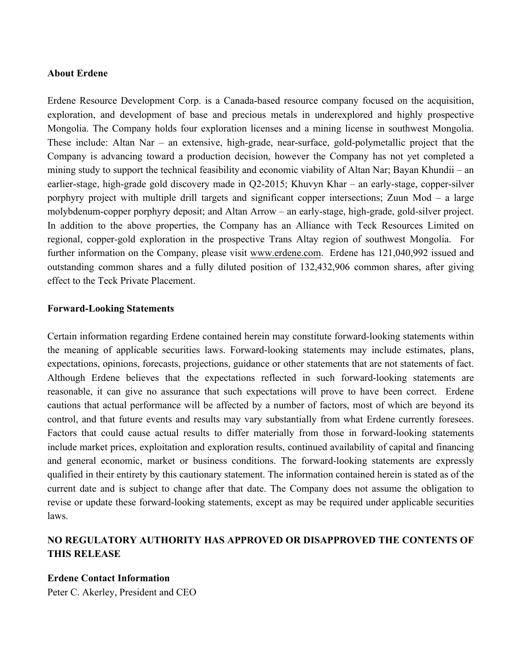#### **About Erdene**

Erdene Resource Development Corp. is a Canada-based resource company focused on the acquisition, exploration, and development of base and precious metals in underexplored and highly prospective Mongolia. The Company holds four exploration licenses and a mining license in southwest Mongolia. These include: Altan Nar – an extensive, high-grade, near-surface, gold-polymetallic project that the Company is advancing toward a production decision, however the Company has not yet completed a mining study to support the technical feasibility and economic viability of Altan Nar; Bayan Khundii – an earlier-stage, high-grade gold discovery made in Q2-2015; Khuvyn Khar – an early-stage, copper-silver porphyry project with multiple drill targets and significant copper intersections; Zuun Mod – a large molybdenum-copper porphyry deposit; and Altan Arrow – an early-stage, high-grade, gold-silver project. In addition to the above properties, the Company has an Alliance with Teck Resources Limited on regional, copper-gold exploration in the prospective Trans Altay region of southwest Mongolia. For further information on the Company, please visit www.erdene.com. Erdene has 121,040,992 issued and outstanding common shares and a fully diluted position of 132,432,906 common shares, after giving effect to the Teck Private Placement.

#### **Forward-Looking Statements**

Certain information regarding Erdene contained herein may constitute forward-looking statements within the meaning of applicable securities laws. Forward-looking statements may include estimates, plans, expectations, opinions, forecasts, projections, guidance or other statements that are not statements of fact. Although Erdene believes that the expectations reflected in such forward-looking statements are reasonable, it can give no assurance that such expectations will prove to have been correct. Erdene cautions that actual performance will be affected by a number of factors, most of which are beyond its control, and that future events and results may vary substantially from what Erdene currently foresees. Factors that could cause actual results to differ materially from those in forward-looking statements include market prices, exploitation and exploration results, continued availability of capital and financing and general economic, market or business conditions. The forward-looking statements are expressly qualified in their entirety by this cautionary statement. The information contained herein is stated as of the current date and is subject to change after that date. The Company does not assume the obligation to revise or update these forward-looking statements, except as may be required under applicable securities laws.

### **NO REGULATORY AUTHORITY HAS APPROVED OR DISAPPROVED THE CONTENTS OF THIS RELEASE**

#### **Erdene Contact Information**

Peter C. Akerley, President and CEO